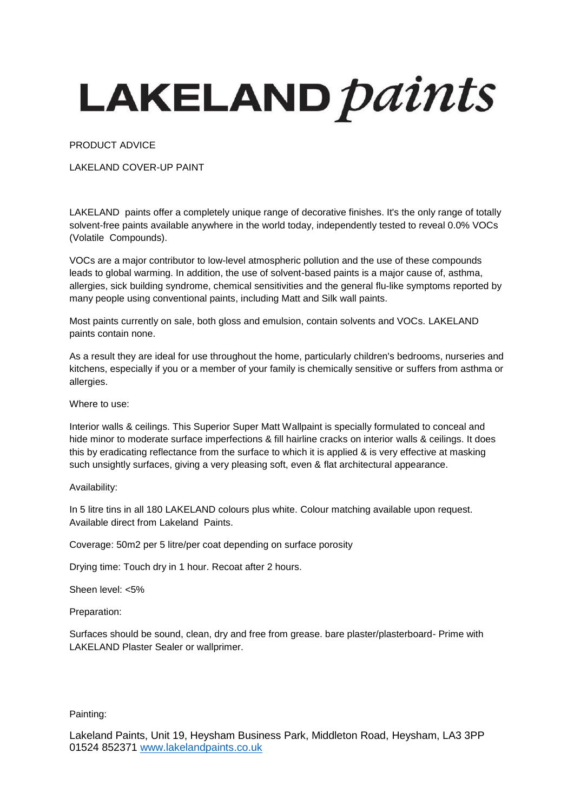## LAKELAND *paints*

PRODUCT ADVICE

LAKELAND COVER-UP PAINT

LAKELAND paints offer a completely unique range of decorative finishes. It's the only range of totally solvent-free paints available anywhere in the world today, independently tested to reveal 0.0% VOCs (Volatile Compounds).

VOCs are a major contributor to low-level atmospheric pollution and the use of these compounds leads to global warming. In addition, the use of solvent-based paints is a major cause of, asthma, allergies, sick building syndrome, chemical sensitivities and the general flu-like symptoms reported by many people using conventional paints, including Matt and Silk wall paints.

Most paints currently on sale, both gloss and emulsion, contain solvents and VOCs. LAKELAND paints contain none.

As a result they are ideal for use throughout the home, particularly children's bedrooms, nurseries and kitchens, especially if you or a member of your family is chemically sensitive or suffers from asthma or allergies.

Where to use:

Interior walls & ceilings. This Superior Super Matt Wallpaint is specially formulated to conceal and hide minor to moderate surface imperfections & fill hairline cracks on interior walls & ceilings. It does this by eradicating reflectance from the surface to which it is applied & is very effective at masking such unsightly surfaces, giving a very pleasing soft, even & flat architectural appearance.

Availability:

In 5 litre tins in all 180 LAKELAND colours plus white. Colour matching available upon request. Available direct from Lakeland Paints.

Coverage: 50m2 per 5 litre/per coat depending on surface porosity

Drying time: Touch dry in 1 hour. Recoat after 2 hours.

Sheen level: <5%

Preparation:

Surfaces should be sound, clean, dry and free from grease. bare plaster/plasterboard- Prime with LAKELAND Plaster Sealer or wallprimer.

Painting:

Lakeland Paints, Unit 19, Heysham Business Park, Middleton Road, Heysham, LA3 3PP 01524 852371 [www.lakelandpaints.co.uk](http://www.lakelandpaints.co.uk/)